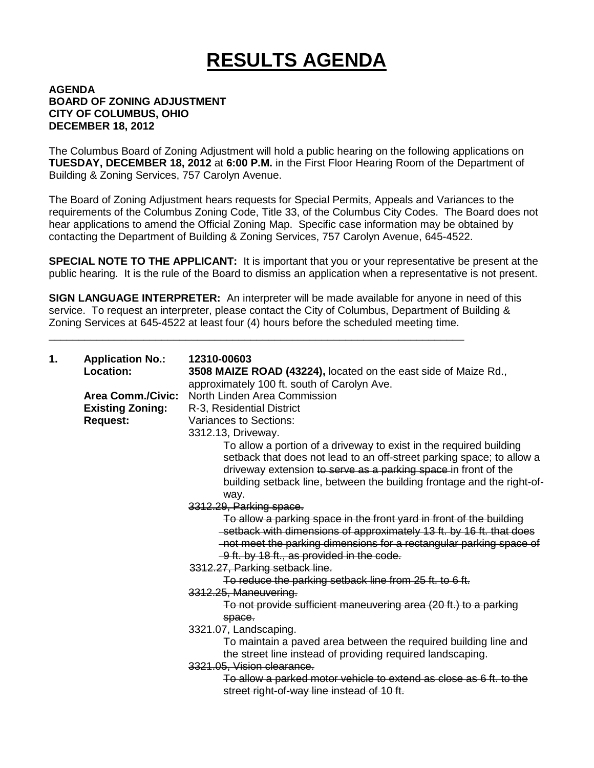## **RESULTS AGENDA**

## **AGENDA BOARD OF ZONING ADJUSTMENT CITY OF COLUMBUS, OHIO DECEMBER 18, 2012**

The Columbus Board of Zoning Adjustment will hold a public hearing on the following applications on **TUESDAY, DECEMBER 18, 2012** at **6:00 P.M.** in the First Floor Hearing Room of the Department of Building & Zoning Services, 757 Carolyn Avenue.

The Board of Zoning Adjustment hears requests for Special Permits, Appeals and Variances to the requirements of the Columbus Zoning Code, Title 33, of the Columbus City Codes. The Board does not hear applications to amend the Official Zoning Map. Specific case information may be obtained by contacting the Department of Building & Zoning Services, 757 Carolyn Avenue, 645-4522.

**SPECIAL NOTE TO THE APPLICANT:** It is important that you or your representative be present at the public hearing. It is the rule of the Board to dismiss an application when a representative is not present.

**SIGN LANGUAGE INTERPRETER:** An interpreter will be made available for anyone in need of this service. To request an interpreter, please contact the City of Columbus, Department of Building & Zoning Services at 645-4522 at least four (4) hours before the scheduled meeting time.

\_\_\_\_\_\_\_\_\_\_\_\_\_\_\_\_\_\_\_\_\_\_\_\_\_\_\_\_\_\_\_\_\_\_\_\_\_\_\_\_\_\_\_\_\_\_\_\_\_\_\_\_\_\_\_\_\_\_\_\_\_\_\_\_\_\_\_\_\_\_

| 1. | <b>Application No.:</b><br><b>Location:</b>                            | 12310-00603<br>3508 MAIZE ROAD (43224), located on the east side of Maize Rd.,                                                                                                                                                                                                                                                                                                                                                                                                                                                                                                                                                                                                                                                                                                                                                                                                                                                                                                          |
|----|------------------------------------------------------------------------|-----------------------------------------------------------------------------------------------------------------------------------------------------------------------------------------------------------------------------------------------------------------------------------------------------------------------------------------------------------------------------------------------------------------------------------------------------------------------------------------------------------------------------------------------------------------------------------------------------------------------------------------------------------------------------------------------------------------------------------------------------------------------------------------------------------------------------------------------------------------------------------------------------------------------------------------------------------------------------------------|
|    | <b>Area Comm./Civic:</b><br><b>Existing Zoning:</b><br><b>Request:</b> | approximately 100 ft. south of Carolyn Ave.<br>North Linden Area Commission<br>R-3, Residential District<br>Variances to Sections:<br>3312.13, Driveway.<br>To allow a portion of a driveway to exist in the required building<br>setback that does not lead to an off-street parking space; to allow a<br>driveway extension to serve as a parking space in front of the<br>building setback line, between the building frontage and the right-of-<br>way.<br>3312.29, Parking space.<br>To allow a parking space in the front yard in front of the building<br>-setback with dimensions of approximately 13 ft. by 16 ft. that does<br>-not meet the parking dimensions for a rectangular parking space of<br>-9 ft. by 18 ft., as provided in the code.<br>3312.27, Parking setback line.<br>To reduce the parking setback line from 25 ft. to 6 ft.<br>3312.25, Maneuvering.<br>To not provide sufficient maneuvering area (20 ft.) to a parking<br>space.<br>3321.07, Landscaping. |
|    |                                                                        | To maintain a paved area between the required building line and<br>the street line instead of providing required landscaping.                                                                                                                                                                                                                                                                                                                                                                                                                                                                                                                                                                                                                                                                                                                                                                                                                                                           |
|    |                                                                        | 3321.05, Vision clearance.<br>To allow a parked motor vehicle to extend as close as 6 ft. to the<br>street right-of-way line instead of 10 ft.                                                                                                                                                                                                                                                                                                                                                                                                                                                                                                                                                                                                                                                                                                                                                                                                                                          |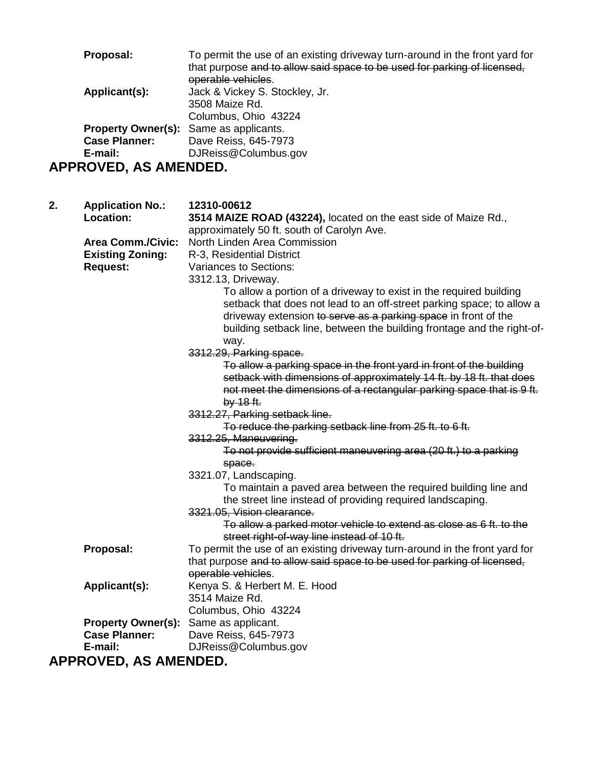|                              | Proposal:               | To permit the use of an existing driveway turn-around in the front yard for<br>that purpose and to allow said space to be used for parking of licensed, |
|------------------------------|-------------------------|---------------------------------------------------------------------------------------------------------------------------------------------------------|
|                              |                         | operable vehicles.                                                                                                                                      |
|                              | Applicant(s):           | Jack & Vickey S. Stockley, Jr.                                                                                                                          |
|                              |                         | 3508 Maize Rd.                                                                                                                                          |
|                              |                         | Columbus, Ohio 43224                                                                                                                                    |
|                              |                         | <b>Property Owner(s):</b> Same as applicants.                                                                                                           |
|                              | <b>Case Planner:</b>    | Dave Reiss, 645-7973                                                                                                                                    |
|                              | E-mail:                 | DJReiss@Columbus.gov                                                                                                                                    |
| <b>APPROVED, AS AMENDED.</b> |                         |                                                                                                                                                         |
| 2.                           | <b>Application No.:</b> | 12310-00612                                                                                                                                             |

**Location: 3514 MAIZE ROAD (43224),** located on the east side of Maize Rd., approximately 50 ft. south of Carolyn Ave. **Area Comm./Civic:** North Linden Area Commission<br>**Existing Zoning:** R-3, Residential District **Existing Zoning:** R-3, Residential District **Request:** Variances to Sections: 3312.13, Driveway. To allow a portion of a driveway to exist in the required building setback that does not lead to an off-street parking space; to allow a driveway extension to serve as a parking space in front of the building setback line, between the building frontage and the right-ofway. 3312.29, Parking space. To allow a parking space in the front yard in front of the building setback with dimensions of approximately 14 ft. by 18 ft. that does not meet the dimensions of a rectangular parking space that is 9 ft. by 18 ft. 3312.27, Parking setback line. To reduce the parking setback line from 25 ft. to 6 ft. 3312.25, Maneuvering. To not provide sufficient maneuvering area (20 ft.) to a parking space. 3321.07, Landscaping. To maintain a paved area between the required building line and the street line instead of providing required landscaping. 3321.05, Vision clearance. To allow a parked motor vehicle to extend as close as 6 ft. to the street right-of-way line instead of 10 ft. **Proposal:** To permit the use of an existing driveway turn-around in the front yard for that purpose and to allow said space to be used for parking of licensed, operable vehicles. **Applicant(s):** Kenya S. & Herbert M. E. Hood 3514 Maize Rd. Columbus, Ohio 43224 **Property Owner(s):** Same as applicant.<br>**Case Planner:** Dave Reiss. 645-79 **Case Planner:** Dave Reiss, 645-7973 **E-mail:** DJReiss@Columbus.gov

**APPROVED, AS AMENDED.**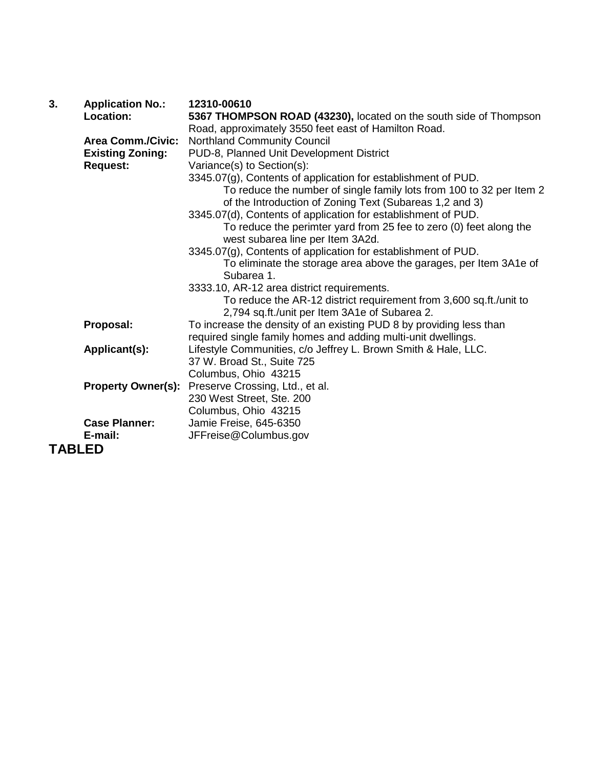| 3.            | <b>Application No.:</b>   | 12310-00610                                                          |
|---------------|---------------------------|----------------------------------------------------------------------|
|               | Location:                 | 5367 THOMPSON ROAD (43230), located on the south side of Thompson    |
|               |                           | Road, approximately 3550 feet east of Hamilton Road.                 |
|               | <b>Area Comm./Civic:</b>  | <b>Northland Community Council</b>                                   |
|               | <b>Existing Zoning:</b>   | PUD-8, Planned Unit Development District                             |
|               | <b>Request:</b>           | Variance(s) to Section(s):                                           |
|               |                           | 3345.07(g), Contents of application for establishment of PUD.        |
|               |                           | To reduce the number of single family lots from 100 to 32 per Item 2 |
|               |                           | of the Introduction of Zoning Text (Subareas 1,2 and 3)              |
|               |                           | 3345.07(d), Contents of application for establishment of PUD.        |
|               |                           | To reduce the perimter yard from 25 fee to zero (0) feet along the   |
|               |                           | west subarea line per Item 3A2d.                                     |
|               |                           | 3345.07(g), Contents of application for establishment of PUD.        |
|               |                           | To eliminate the storage area above the garages, per Item 3A1e of    |
|               |                           | Subarea 1.                                                           |
|               |                           | 3333.10, AR-12 area district requirements.                           |
|               |                           | To reduce the AR-12 district requirement from 3,600 sq.ft./unit to   |
|               |                           | 2,794 sq.ft./unit per Item 3A1e of Subarea 2.                        |
|               | Proposal:                 | To increase the density of an existing PUD 8 by providing less than  |
|               |                           | required single family homes and adding multi-unit dwellings.        |
|               | Applicant(s):             | Lifestyle Communities, c/o Jeffrey L. Brown Smith & Hale, LLC.       |
|               |                           | 37 W. Broad St., Suite 725                                           |
|               |                           | Columbus, Ohio 43215                                                 |
|               | <b>Property Owner(s):</b> | Preserve Crossing, Ltd., et al.                                      |
|               |                           | 230 West Street, Ste. 200                                            |
|               | <b>Case Planner:</b>      | Columbus, Ohio 43215                                                 |
|               | E-mail:                   | Jamie Freise, 645-6350                                               |
|               |                           | JFFreise@Columbus.gov                                                |
| <b>TABLED</b> |                           |                                                                      |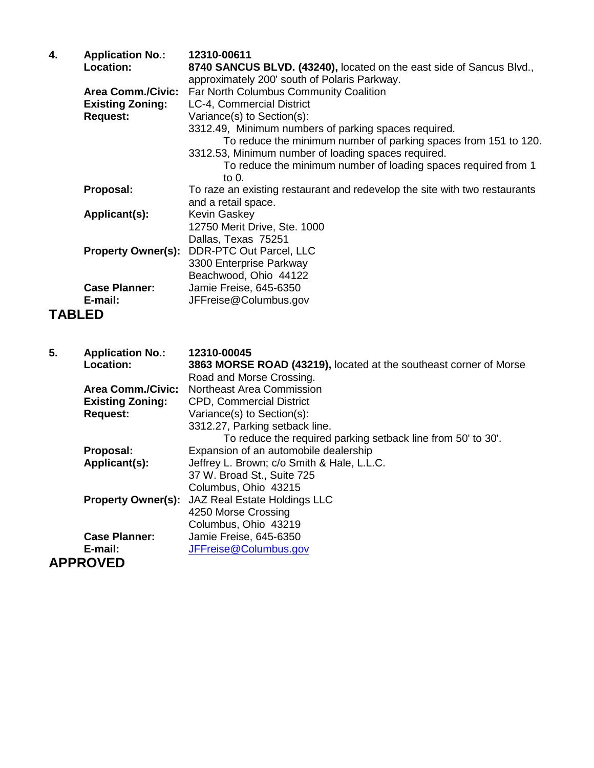| 4.            | <b>Application No.:</b><br>Location:       | 12310-00611<br>8740 SANCUS BLVD. (43240), located on the east side of Sancus Blvd.,<br>approximately 200' south of Polaris Parkway. |
|---------------|--------------------------------------------|-------------------------------------------------------------------------------------------------------------------------------------|
|               | <b>Area Comm./Civic:</b>                   | Far North Columbus Community Coalition                                                                                              |
|               | <b>Existing Zoning:</b><br><b>Request:</b> | LC-4, Commercial District<br>Variance(s) to Section(s):                                                                             |
|               |                                            | 3312.49, Minimum numbers of parking spaces required.                                                                                |
|               |                                            | To reduce the minimum number of parking spaces from 151 to 120.                                                                     |
|               |                                            | 3312.53, Minimum number of loading spaces required.                                                                                 |
|               |                                            | To reduce the minimum number of loading spaces required from 1<br>to 0.                                                             |
|               | Proposal:                                  | To raze an existing restaurant and redevelop the site with two restaurants                                                          |
|               |                                            | and a retail space.                                                                                                                 |
|               | Applicant(s):                              | Kevin Gaskey                                                                                                                        |
|               |                                            | 12750 Merit Drive, Ste. 1000                                                                                                        |
|               | <b>Property Owner(s):</b>                  | Dallas, Texas 75251<br>DDR-PTC Out Parcel, LLC                                                                                      |
|               |                                            | 3300 Enterprise Parkway                                                                                                             |
|               |                                            | Beachwood, Ohio 44122                                                                                                               |
|               | <b>Case Planner:</b>                       | Jamie Freise, 645-6350                                                                                                              |
|               | E-mail:                                    | JFFreise@Columbus.gov                                                                                                               |
| <b>TABLED</b> |                                            |                                                                                                                                     |
|               |                                            |                                                                                                                                     |
| 5.            | <b>Application No.:</b>                    | 12310-00045                                                                                                                         |
|               | Location:                                  | 3863 MORSE ROAD (43219), located at the southeast corner of Morse                                                                   |
|               | <b>Area Comm./Civic:</b>                   | Road and Morse Crossing.<br>Northeast Area Commission                                                                               |
|               | <b>Existing Zoning:</b>                    | <b>CPD, Commercial District</b>                                                                                                     |
|               | <b>Request:</b>                            | Variance(s) to Section(s):                                                                                                          |
|               |                                            | 3312.27, Parking setback line.                                                                                                      |
|               |                                            | To reduce the required parking setback line from 50' to 30'.                                                                        |
|               | Proposal:<br>Applicant(s):                 | Expansion of an automobile dealership<br>Jeffrey L. Brown; c/o Smith & Hale, L.L.C.                                                 |
|               |                                            | 37 W. Broad St., Suite 725                                                                                                          |
|               |                                            | Columbus, Ohio 43215                                                                                                                |
|               | <b>Property Owner(s):</b>                  | <b>JAZ Real Estate Holdings LLC</b>                                                                                                 |
|               |                                            | 4250 Morse Crossing                                                                                                                 |
|               | Case Planner:                              | Columbus, Ohio 43219<br>Jamie Freise, 645-6350.                                                                                     |
|               |                                            |                                                                                                                                     |

**Case Planner:** Jamie Freise, 645-6350<br>**E-mail:** JFFreise@Columbus.go **[JFFreise@Columbus.gov](mailto:JFFreise@Columbus.gov)** 

**APPROVED**